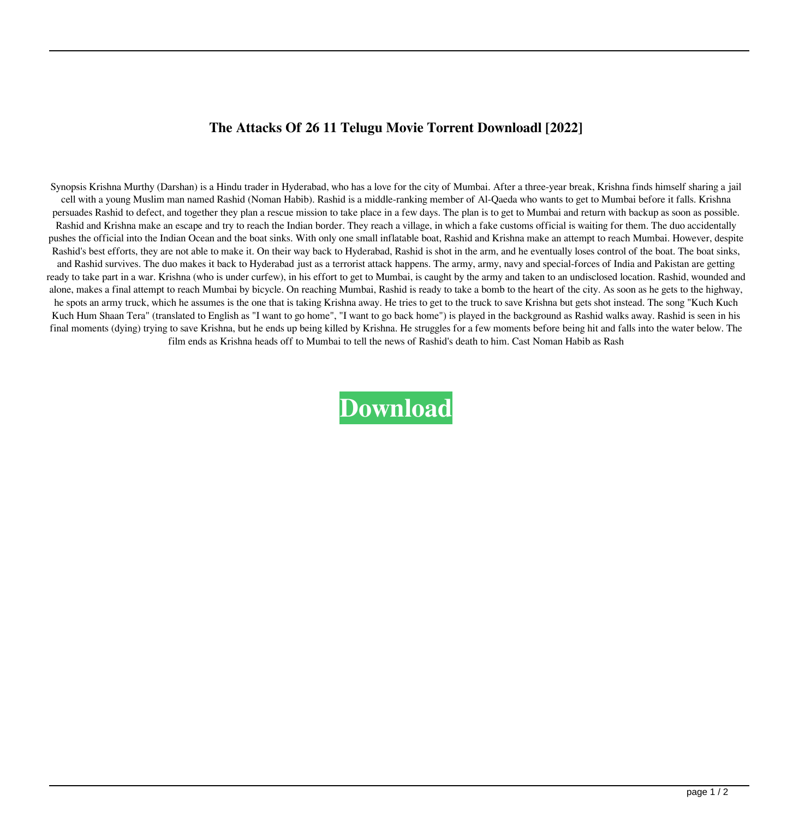## **The Attacks Of 26 11 Telugu Movie Torrent Downloadl [2022]**

Synopsis Krishna Murthy (Darshan) is a Hindu trader in Hyderabad, who has a love for the city of Mumbai. After a three-year break, Krishna finds himself sharing a jail cell with a young Muslim man named Rashid (Noman Habib). Rashid is a middle-ranking member of Al-Qaeda who wants to get to Mumbai before it falls. Krishna persuades Rashid to defect, and together they plan a rescue mission to take place in a few days. The plan is to get to Mumbai and return with backup as soon as possible. Rashid and Krishna make an escape and try to reach the Indian border. They reach a village, in which a fake customs official is waiting for them. The duo accidentally pushes the official into the Indian Ocean and the boat sinks. With only one small inflatable boat, Rashid and Krishna make an attempt to reach Mumbai. However, despite Rashid's best efforts, they are not able to make it. On their way back to Hyderabad, Rashid is shot in the arm, and he eventually loses control of the boat. The boat sinks, and Rashid survives. The duo makes it back to Hyderabad just as a terrorist attack happens. The army, army, navy and special-forces of India and Pakistan are getting ready to take part in a war. Krishna (who is under curfew), in his effort to get to Mumbai, is caught by the army and taken to an undisclosed location. Rashid, wounded and alone, makes a final attempt to reach Mumbai by bicycle. On reaching Mumbai, Rashid is ready to take a bomb to the heart of the city. As soon as he gets to the highway, he spots an army truck, which he assumes is the one that is taking Krishna away. He tries to get to the truck to save Krishna but gets shot instead. The song "Kuch Kuch Kuch Hum Shaan Tera" (translated to English as "I want to go home", "I want to go back home") is played in the background as Rashid walks away. Rashid is seen in his final moments (dying) trying to save Krishna, but he ends up being killed by Krishna. He struggles for a few moments before being hit and falls into the water below. The film ends as Krishna heads off to Mumbai to tell the news of Rashid's death to him. Cast Noman Habib as Rash